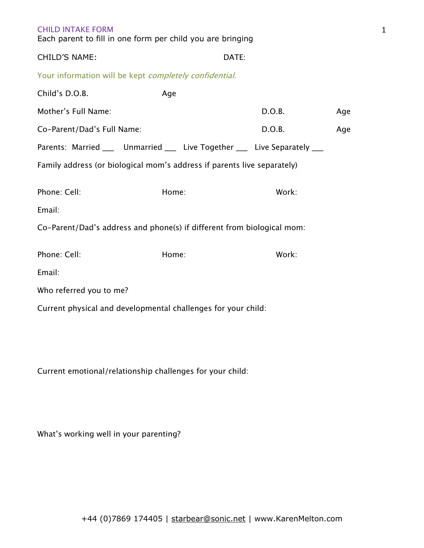| <b>CHILD INTAKE FORM</b><br>Each parent to fill in one form per child you are bringing |       |       |        |     |
|----------------------------------------------------------------------------------------|-------|-------|--------|-----|
| CHILD'S NAME:                                                                          |       | DATE: |        |     |
| Your information will be kept completely confidential.                                 |       |       |        |     |
| Child's D.O.B.                                                                         | Age   |       |        |     |
| Mother's Full Name:                                                                    |       |       | D.O.B. | Age |
| Co-Parent/Dad's Full Name:                                                             |       |       | D.O.B. | Age |
| Parents: Married ___ Unmarried ___ Live Together ___ Live Separately ___               |       |       |        |     |
| Family address (or biological mom's address if parents live separately)                |       |       |        |     |
| Phone: Cell:                                                                           | Home: |       | Work:  |     |
| Email:                                                                                 |       |       |        |     |
| Co-Parent/Dad's address and phone(s) if different from biological mom:                 |       |       |        |     |
| Phone: Cell:                                                                           | Home: |       | Work:  |     |
| Email:                                                                                 |       |       |        |     |
| Who referred you to me?                                                                |       |       |        |     |
| Current physical and developmental challenges for your child:                          |       |       |        |     |

1

Current emotional/relationship challenges for your child:

What's working well in your parenting?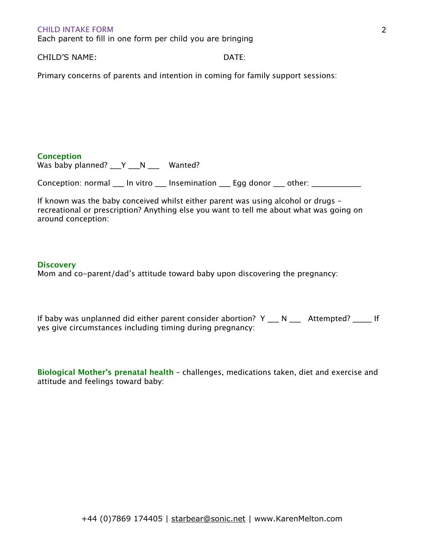Each parent to fill in one form per child you are bringing

CHILD'S NAME: DATE:

Primary concerns of parents and intention in coming for family support sessions:

## **Conception**

Was baby planned? \_\_\_Y \_\_\_ N \_\_\_\_\_ Wanted?

Conception: normal \_\_\_ In vitro \_\_\_ Insemination \_\_\_ Egg donor \_\_\_ other: \_\_\_\_\_\_\_

If known was the baby conceived whilst either parent was using alcohol or drugs – recreational or prescription? Anything else you want to tell me about what was going on around conception:

### **Discovery**

Mom and co-parent/dad's attitude toward baby upon discovering the pregnancy:

If baby was unplanned did either parent consider abortion? Y \_\_\_ N \_\_\_\_ Attempted? \_\_\_\_\_ If yes give circumstances including timing during pregnancy:

**Biological Mother's prenatal health** – challenges, medications taken, diet and exercise and attitude and feelings toward baby: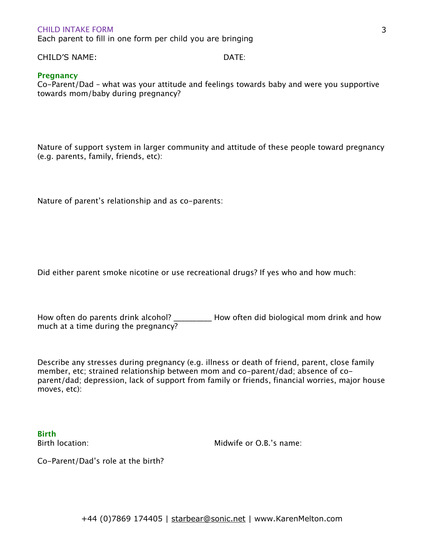Each parent to fill in one form per child you are bringing

CHILD'S NAME: DATE:

# **Pregnancy**

Co-Parent/Dad – what was your attitude and feelings towards baby and were you supportive towards mom/baby during pregnancy?

Nature of support system in larger community and attitude of these people toward pregnancy (e.g. parents, family, friends, etc):

Nature of parent's relationship and as co-parents:

Did either parent smoke nicotine or use recreational drugs? If yes who and how much:

How often do parents drink alcohol? \_\_\_\_\_\_\_\_\_\_\_ How often did biological mom drink and how much at a time during the pregnancy?

Describe any stresses during pregnancy (e.g. illness or death of friend, parent, close family member, etc; strained relationship between mom and co-parent/dad; absence of coparent/dad; depression, lack of support from family or friends, financial worries, major house moves, etc):

**Birth**

Birth location: The contraction of the Midwife or O.B.'s name:

Co-Parent/Dad's role at the birth?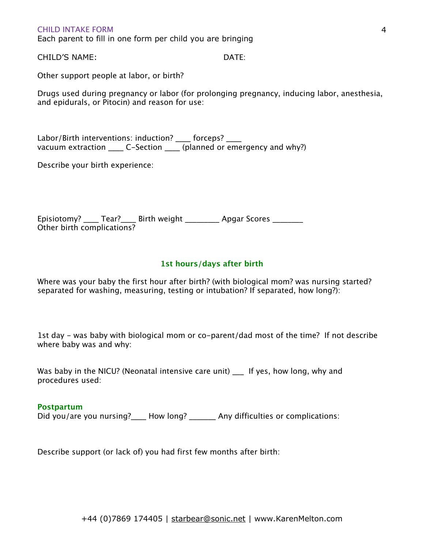Each parent to fill in one form per child you are bringing

CHILD'S NAME: DATE:

Other support people at labor, or birth?

Drugs used during pregnancy or labor (for prolonging pregnancy, inducing labor, anesthesia, and epidurals, or Pitocin) and reason for use:

Labor/Birth interventions: induction? \_\_\_\_ forceps? \_\_\_\_ vacuum extraction \_\_\_\_\_ C-Section \_\_\_\_ (planned or emergency and why?)

Describe your birth experience:

Episiotomy? \_\_\_\_ Tear?\_\_\_\_ Birth weight \_\_\_\_\_\_\_\_\_ Apgar Scores \_\_\_\_\_\_\_\_ Other birth complications?

## **1st hours/days after birth**

Where was your baby the first hour after birth? (with biological mom? was nursing started? separated for washing, measuring, testing or intubation? If separated, how long?):

1st day - was baby with biological mom or co-parent/dad most of the time? If not describe where baby was and why:

Was baby in the NICU? (Neonatal intensive care unit) \_\_\_ If yes, how long, why and procedures used:

#### **Postpartum**

Did you/are you nursing? How long? \_\_\_\_\_\_\_ Any difficulties or complications:

Describe support (or lack of) you had first few months after birth: